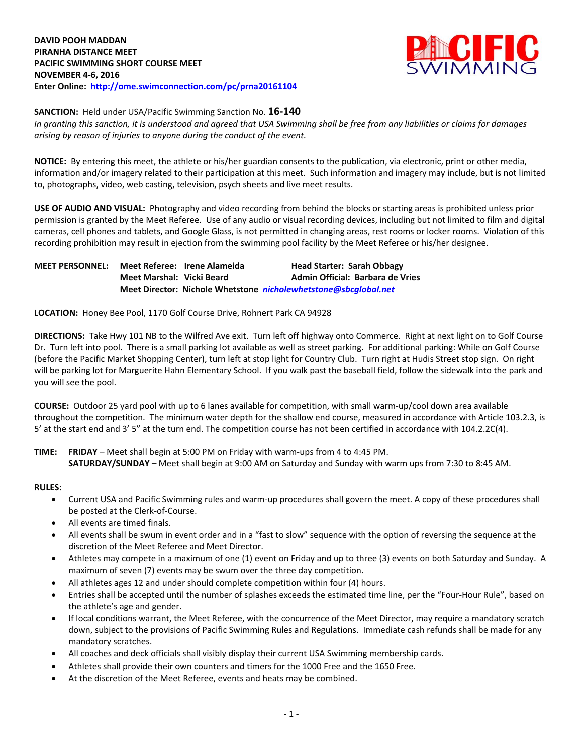

**SANCTION:** Held under USA/Pacific Swimming Sanction No. **16-140**

*In granting this sanction, it is understood and agreed that USA Swimming shall be free from any liabilities or claims for damages arising by reason of injuries to anyone during the conduct of the event.*

**NOTICE:** By entering this meet, the athlete or his/her guardian consents to the publication, via electronic, print or other media, information and/or imagery related to their participation at this meet. Such information and imagery may include, but is not limited to, photographs, video, web casting, television, psych sheets and live meet results.

**USE OF AUDIO AND VISUAL:** Photography and video recording from behind the blocks or starting areas is prohibited unless prior permission is granted by the Meet Referee. Use of any audio or visual recording devices, including but not limited to film and digital cameras, cell phones and tablets, and Google Glass, is not permitted in changing areas, rest rooms or locker rooms. Violation of this recording prohibition may result in ejection from the swimming pool facility by the Meet Referee or his/her designee.

**MEET PERSONNEL: Meet Referee: Irene Alameida Head Starter: Sarah Obbagy Meet Marshal: Vicki Beard Admin Official: Barbara de Vries Meet Director: Nichole Whetstone** *[nicholewhetstone@sbcglobal.net](mailto:nicholewhetstone@sbcglobal.net)*

**LOCATION:** Honey Bee Pool, 1170 Golf Course Drive, Rohnert Park CA 94928

**DIRECTIONS:** Take Hwy 101 NB to the Wilfred Ave exit. Turn left off highway onto Commerce. Right at next light on to Golf Course Dr. Turn left into pool. There is a small parking lot available as well as street parking. For additional parking: While on Golf Course (before the Pacific Market Shopping Center), turn left at stop light for Country Club. Turn right at Hudis Street stop sign. On right will be parking lot for Marguerite Hahn Elementary School. If you walk past the baseball field, follow the sidewalk into the park and you will see the pool.

**COURSE:** Outdoor 25 yard pool with up to 6 lanes available for competition, with small warm-up/cool down area available throughout the competition. The minimum water depth for the shallow end course, measured in accordance with Article 103.2.3, is 5' at the start end and 3' 5" at the turn end. The competition course has not been certified in accordance with 104.2.2C(4).

**TIME: FRIDAY** – Meet shall begin at 5:00 PM on Friday with warm-ups from 4 to 4:45 PM. **SATURDAY/SUNDAY** – Meet shall begin at 9:00 AM on Saturday and Sunday with warm ups from 7:30 to 8:45 AM.

#### **RULES:**

- Current USA and Pacific Swimming rules and warm-up procedures shall govern the meet. A copy of these procedures shall be posted at the Clerk-of-Course.
- All events are timed finals.
- All events shall be swum in event order and in a "fast to slow" sequence with the option of reversing the sequence at the discretion of the Meet Referee and Meet Director.
- Athletes may compete in a maximum of one (1) event on Friday and up to three (3) events on both Saturday and Sunday. A maximum of seven (7) events may be swum over the three day competition.
- All athletes ages 12 and under should complete competition within four (4) hours.
- Entries shall be accepted until the number of splashes exceeds the estimated time line, per the "Four-Hour Rule", based on the athlete's age and gender.
- If local conditions warrant, the Meet Referee, with the concurrence of the Meet Director, may require a mandatory scratch down, subject to the provisions of Pacific Swimming Rules and Regulations. Immediate cash refunds shall be made for any mandatory scratches.
- All coaches and deck officials shall visibly display their current USA Swimming membership cards.
- Athletes shall provide their own counters and timers for the 1000 Free and the 1650 Free.
- At the discretion of the Meet Referee, events and heats may be combined.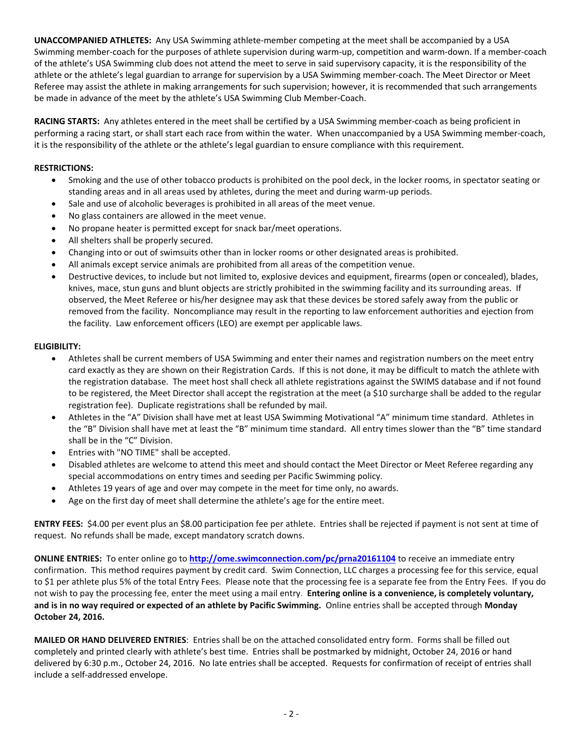**UNACCOMPANIED ATHLETES:** Any USA Swimming athlete-member competing at the meet shall be accompanied by a USA Swimming member-coach for the purposes of athlete supervision during warm-up, competition and warm-down. If a member-coach of the athlete's USA Swimming club does not attend the meet to serve in said supervisory capacity, it is the responsibility of the athlete or the athlete's legal guardian to arrange for supervision by a USA Swimming member-coach. The Meet Director or Meet Referee may assist the athlete in making arrangements for such supervision; however, it is recommended that such arrangements be made in advance of the meet by the athlete's USA Swimming Club Member-Coach.

**RACING STARTS:** Any athletes entered in the meet shall be certified by a USA Swimming member-coach as being proficient in performing a racing start, or shall start each race from within the water. When unaccompanied by a USA Swimming member-coach, it is the responsibility of the athlete or the athlete's legal guardian to ensure compliance with this requirement.

## **RESTRICTIONS:**

- Smoking and the use of other tobacco products is prohibited on the pool deck, in the locker rooms, in spectator seating or standing areas and in all areas used by athletes, during the meet and during warm-up periods.
- Sale and use of alcoholic beverages is prohibited in all areas of the meet venue.
- No glass containers are allowed in the meet venue.
- No propane heater is permitted except for snack bar/meet operations.
- All shelters shall be properly secured.
- Changing into or out of swimsuits other than in locker rooms or other designated areas is prohibited.
- All animals except service animals are prohibited from all areas of the competition venue.
- Destructive devices, to include but not limited to, explosive devices and equipment, firearms (open or concealed), blades, knives, mace, stun guns and blunt objects are strictly prohibited in the swimming facility and its surrounding areas. If observed, the Meet Referee or his/her designee may ask that these devices be stored safely away from the public or removed from the facility. Noncompliance may result in the reporting to law enforcement authorities and ejection from the facility. Law enforcement officers (LEO) are exempt per applicable laws.

### **ELIGIBILITY:**

- Athletes shall be current members of USA Swimming and enter their names and registration numbers on the meet entry card exactly as they are shown on their Registration Cards. If this is not done, it may be difficult to match the athlete with the registration database. The meet host shall check all athlete registrations against the SWIMS database and if not found to be registered, the Meet Director shall accept the registration at the meet (a \$10 surcharge shall be added to the regular registration fee). Duplicate registrations shall be refunded by mail.
- Athletes in the "A" Division shall have met at least USA Swimming Motivational "A" minimum time standard. Athletes in the "B" Division shall have met at least the "B" minimum time standard. All entry times slower than the "B" time standard shall be in the "C" Division.
- Entries with "NO TIME" shall be accepted.
- Disabled athletes are welcome to attend this meet and should contact the Meet Director or Meet Referee regarding any special accommodations on entry times and seeding per Pacific Swimming policy.
- Athletes 19 years of age and over may compete in the meet for time only, no awards.
- Age on the first day of meet shall determine the athlete's age for the entire meet.

**ENTRY FEES:** \$4.00 per event plus an \$8.00 participation fee per athlete. Entries shall be rejected if payment is not sent at time of request. No refunds shall be made, except mandatory scratch downs.

**ONLINE ENTRIES:** To enter online go to **<http://ome.swimconnection.com/pc/prna20161104>** to receive an immediate entry confirmation. This method requires payment by credit card. Swim Connection, LLC charges a processing fee for this service, equal to \$1 per athlete plus 5% of the total Entry Fees. Please note that the processing fee is a separate fee from the Entry Fees. If you do not wish to pay the processing fee, enter the meet using a mail entry. **Entering online is a convenience, is completely voluntary, and is in no way required or expected of an athlete by Pacific Swimming.** Online entries shall be accepted through **Monday October 24, 2016.**

**MAILED OR HAND DELIVERED ENTRIES**: Entries shall be on the attached consolidated entry form. Forms shall be filled out completely and printed clearly with athlete's best time. Entries shall be postmarked by midnight, October 24, 2016 or hand delivered by 6:30 p.m., October 24, 2016. No late entries shall be accepted. Requests for confirmation of receipt of entries shall include a self-addressed envelope.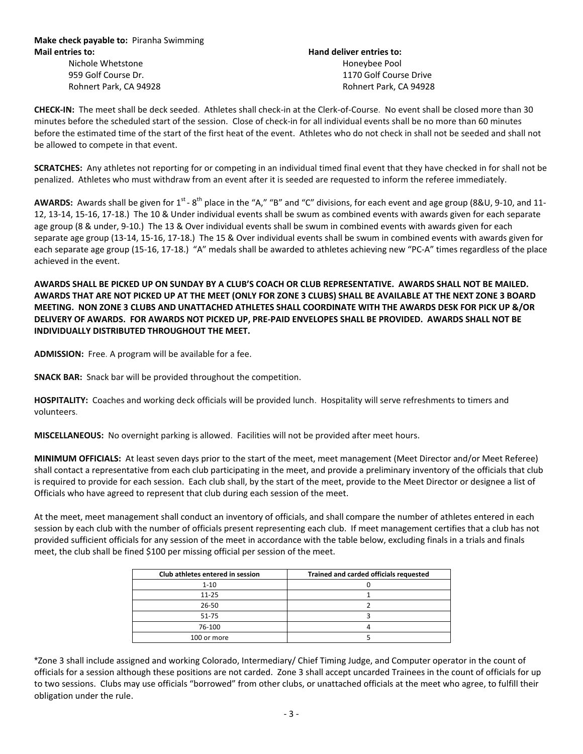# Nichole Whetstone Honeybee Pool 959 Golf Course Dr. 1170 Golf Course Drive Rohnert Park, CA 94928 **Rohnert Park, CA 94928** Rohnert Park, CA 94928

**CHECK-IN:** The meet shall be deck seeded. Athletes shall check-in at the Clerk-of-Course. No event shall be closed more than 30 minutes before the scheduled start of the session. Close of check-in for all individual events shall be no more than 60 minutes before the estimated time of the start of the first heat of the event. Athletes who do not check in shall not be seeded and shall not be allowed to compete in that event.

**SCRATCHES:** Any athletes not reporting for or competing in an individual timed final event that they have checked in for shall not be penalized. Athletes who must withdraw from an event after it is seeded are requested to inform the referee immediately.

AWARDS: Awards shall be given for 1<sup>st</sup> - 8<sup>th</sup> place in the "A," "B" and "C" divisions, for each event and age group (8&U, 9-10, and 11-12, 13-14, 15-16, 17-18.) The 10 & Under individual events shall be swum as combined events with awards given for each separate age group (8 & under, 9-10.) The 13 & Over individual events shall be swum in combined events with awards given for each separate age group (13-14, 15-16, 17-18.) The 15 & Over individual events shall be swum in combined events with awards given for each separate age group (15-16, 17-18.) "A" medals shall be awarded to athletes achieving new "PC-A" times regardless of the place achieved in the event.

**AWARDS SHALL BE PICKED UP ON SUNDAY BY A CLUB'S COACH OR CLUB REPRESENTATIVE. AWARDS SHALL NOT BE MAILED. AWARDS THAT ARE NOT PICKED UP AT THE MEET (ONLY FOR ZONE 3 CLUBS) SHALL BE AVAILABLE AT THE NEXT ZONE 3 BOARD MEETING. NON ZONE 3 CLUBS AND UNATTACHED ATHLETES SHALL COORDINATE WITH THE AWARDS DESK FOR PICK UP &/OR DELIVERY OF AWARDS. FOR AWARDS NOT PICKED UP, PRE-PAID ENVELOPES SHALL BE PROVIDED. AWARDS SHALL NOT BE INDIVIDUALLY DISTRIBUTED THROUGHOUT THE MEET.**

**ADMISSION:** Free. A program will be available for a fee.

**SNACK BAR:** Snack bar will be provided throughout the competition.

**HOSPITALITY:** Coaches and working deck officials will be provided lunch. Hospitality will serve refreshments to timers and volunteers.

**MISCELLANEOUS:** No overnight parking is allowed. Facilities will not be provided after meet hours.

**MINIMUM OFFICIALS:** At least seven days prior to the start of the meet, meet management (Meet Director and/or Meet Referee) shall contact a representative from each club participating in the meet, and provide a preliminary inventory of the officials that club is required to provide for each session. Each club shall, by the start of the meet, provide to the Meet Director or designee a list of Officials who have agreed to represent that club during each session of the meet.

At the meet, meet management shall conduct an inventory of officials, and shall compare the number of athletes entered in each session by each club with the number of officials present representing each club. If meet management certifies that a club has not provided sufficient officials for any session of the meet in accordance with the table below, excluding finals in a trials and finals meet, the club shall be fined \$100 per missing official per session of the meet.

| Club athletes entered in session | Trained and carded officials requested |
|----------------------------------|----------------------------------------|
| $1 - 10$                         |                                        |
| $11 - 25$                        |                                        |
| 26-50                            |                                        |
| 51-75                            |                                        |
| 76-100                           |                                        |
| 100 or more                      |                                        |

\*Zone 3 shall include assigned and working Colorado, Intermediary/ Chief Timing Judge, and Computer operator in the count of officials for a session although these positions are not carded. Zone 3 shall accept uncarded Trainees in the count of officials for up to two sessions. Clubs may use officials "borrowed" from other clubs, or unattached officials at the meet who agree, to fulfill their obligation under the rule.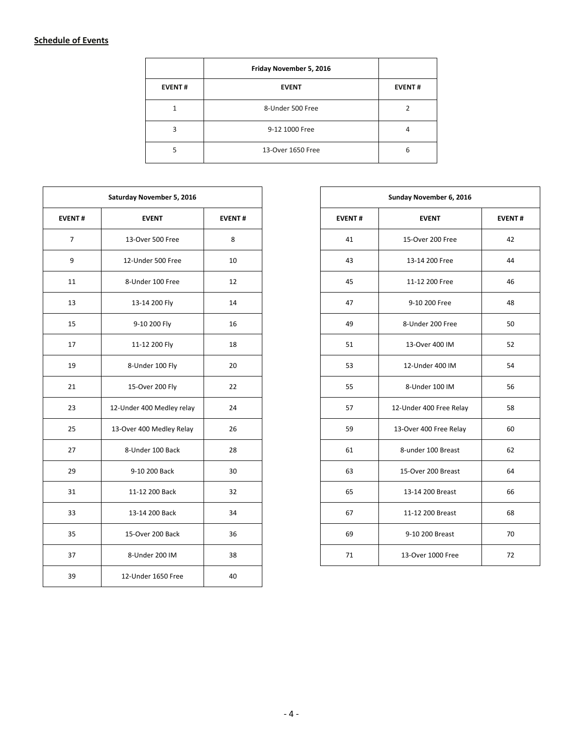### **Schedule of Events**

|               | Friday November 5, 2016 |               |
|---------------|-------------------------|---------------|
| <b>EVENT#</b> | <b>EVENT</b>            | <b>EVENT#</b> |
|               | 8-Under 500 Free        |               |
| 3             | 9-12 1000 Free          |               |
| 5             | 13-Over 1650 Free       | 6             |

|                | Saturday November 5, 2016 |               |
|----------------|---------------------------|---------------|
| <b>EVENT#</b>  | <b>EVENT</b>              | <b>EVENT#</b> |
| $\overline{7}$ | 13-Over 500 Free          | 8             |
| 9              | 12-Under 500 Free         | 10            |
| 11             | 8-Under 100 Free          | 12            |
| 13             | 13-14 200 Fly             | 14            |
| 15             | 9-10 200 Fly              | 16            |
| 17             | 11-12 200 Fly             | 18            |
| 19             | 8-Under 100 Fly           | 20            |
| 21             | 15-Over 200 Fly           | 22            |
| 23             | 12-Under 400 Medley relay | 24            |
| 25             | 13-Over 400 Medley Relay  | 26            |
| 27             | 8-Under 100 Back          | 28            |
| 29             | 9-10 200 Back             | 30            |
| 31             | 11-12 200 Back            | 32            |
| 33             | 13-14 200 Back            | 34            |
| 35             | 15-Over 200 Back          | 36            |
| 37             | 8-Under 200 IM            | 38            |
| 39             | 12-Under 1650 Free        | 40            |

|                | Saturday November 5, 2016 |               |
|----------------|---------------------------|---------------|
| <b>EVENT#</b>  | <b>EVENT</b>              | <b>EVENT#</b> |
| $\overline{7}$ | 13-Over 500 Free          | 8             |
| 9              | 12-Under 500 Free         | 10            |
| 11             | 8-Under 100 Free          | 12            |
| 13             | 13-14 200 Fly             | 14            |
| 15             | 9-10 200 Fly              | 16            |
| 17             | 11-12 200 Fly             | 18            |
| 19             | 8-Under 100 Fly           | 20            |
| 21             | 15-Over 200 Fly           | 22            |
| 23             | 12-Under 400 Medley relay | 24            |
| 25             | 13-Over 400 Medley Relay  | 26            |
| 27             | 8-Under 100 Back          | 28            |
| 29             | 9-10 200 Back             | 30            |
| 31             | 11-12 200 Back            | 32            |
| 33             | 13-14 200 Back            | 34            |
| 35             | 15-Over 200 Back          | 36            |
| 37             | 8-Under 200 IM            | 38            |